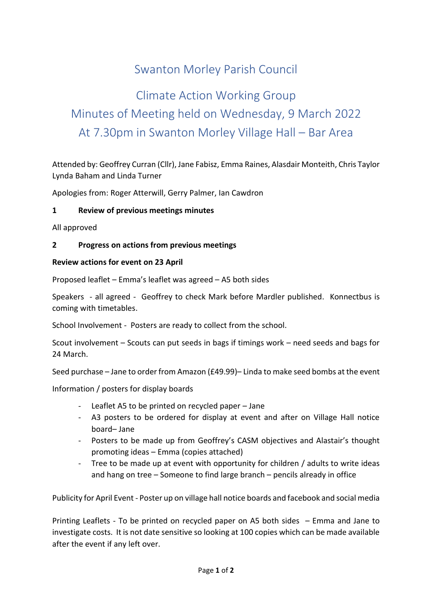# Swanton Morley Parish Council

# Climate Action Working Group Minutes of Meeting held on Wednesday, 9 March 2022 At 7.30pm in Swanton Morley Village Hall – Bar Area

Attended by: Geoffrey Curran (Cllr), Jane Fabisz, Emma Raines, Alasdair Monteith, Chris Taylor Lynda Baham and Linda Turner

Apologies from: Roger Atterwill, Gerry Palmer, Ian Cawdron

# **1 Review of previous meetings minutes**

All approved

## **2 Progress on actions from previous meetings**

#### **Review actions for event on 23 April**

Proposed leaflet – Emma's leaflet was agreed – A5 both sides

Speakers - all agreed - Geoffrey to check Mark before Mardler published. Konnectbus is coming with timetables.

School Involvement - Posters are ready to collect from the school.

Scout involvement – Scouts can put seeds in bags if timings work – need seeds and bags for 24 March.

Seed purchase – Jane to order from Amazon (£49.99)– Linda to make seed bombs at the event

Information / posters for display boards

- Leaflet A5 to be printed on recycled paper  $-$  Jane
- A3 posters to be ordered for display at event and after on Village Hall notice board– Jane
- Posters to be made up from Geoffrey's CASM objectives and Alastair's thought promoting ideas – Emma (copies attached)
- Tree to be made up at event with opportunity for children / adults to write ideas and hang on tree – Someone to find large branch – pencils already in office

Publicity for April Event - Poster up on village hall notice boards and facebook and social media

Printing Leaflets - To be printed on recycled paper on A5 both sides – Emma and Jane to investigate costs. It is not date sensitive so looking at 100 copies which can be made available after the event if any left over.